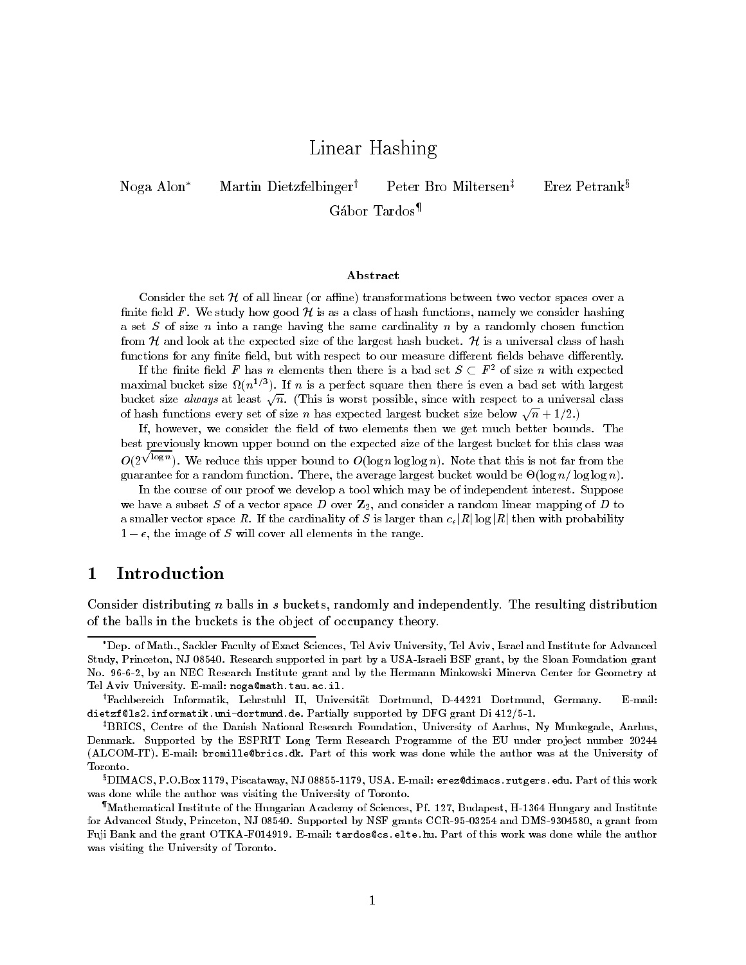# Linear Hashing

Noga Alon<sup>\*</sup> Martin Dietzfelbinger<sup>†</sup> Peter Bro Miltersen<sup>‡</sup> Erez Petrank<sup>§</sup>

Gabor Tardos

### Abstract

Consider the set <sup>H</sup> of all linear or ane- transformations between two vector spaces over a $\min$  is the study how good  $\mu$  is as a class of hash functions, hallely we consider hashing a set  $\omega$  of size  $n$  into a range having the same cardinality  $n$  by a randomly chosen function  $\sim$  $f$  and look at the expected size of the largest hash bucket.  $f$  is a universal class of hash translated the str functions for any finite field, but with respect to our measure different fields behave differently.

If the nitle neid  $F$  has  $n$  elements then there is a pad set  $S \subset F$  for size  $n$  with expected  $\blacksquare$ maximal bucket size  $\Omega(n^{-r})$ . If  $n$  is a perfect square then there is even a bad set with largest bucket size always at least  $\sqrt{n}$ . (This is worst possible, since with respect to a universal class of hash functions every set of size n has expected largest bucket size below  $\sqrt{n} + 1/2$ .

If, however, we consider the field of two elements then we get much better bounds. The best previously known upper bound on the expected size of the largest bucket for this class was $\sim$  .  $\sqrt{\log n}$ ). We reduce this upper bound to  $O(\log n \log \log n)$ . Note that this is not far from the guarantee for a random function. There, the average largest bucket would be  $O(\log n/\log \log n)$ .

In the course of our proof we develop a tool which may be of independent interest Supposewe have a subset S of a vector space D over  $\mathbb{Z}_2$ , and consider a random linear mapping of D to a smaller vector space R. If the cardinality of S is larger than  $c_\epsilon$  R  $|n|$  log  $|n|$  then with probability  $t = c$ , the image of  $S$  will cover all elements in the range.

#### $\mathbf 1$ Introduction

Consider distributing  $n$  balls in  $s$  buckets, randomly and independently. The resulting distribution of the balls in the buckets is the object of occupancy theory.

<sup>\*</sup>Dep. of Math., Sackler Faculty of Exact Sciences, Tel Aviv University, Tel Aviv, Israel and Institute for Advanced Study Princeton NJ -- Research supported in part by a USAIsraeli BSF grant by the Sloan Foundation grant No. 96-6-2, by an NEC Research Institute grant and by the Hermann Minkowski Minerva Center for Geometry at Tel Aviv University Email nogamathtauacil

<sup>&</sup>lt;sup>†</sup>Fachbereich Informatik, Lehrstuhl II, Universität Dortmund, D-44221 Dortmund, Germany. E-mail: arverser informatikuni av emanatavt faramij bapported bj DFG grant Di 112/0 11

<sup>&</sup>lt;sup>‡</sup>BRICS, Centre of the Danish National Research Foundation, University of Aarhus, Ny Munkegade, Aarhus. Denmark Supported by the ESPRIT Long Term Research Programme of the EU under pro ject number -  $\mu$ alcomit alcoholi stranding part of this was done which was done while the author was also was at the University of Toronto

<sup>°</sup>LIIMACS, P.O.Box 1179, Piscataway, NJ 08855-1179, OSA. E-mail: erez@d1macs.rutgers.edu. Part of this work – was done while the author was visiting the University of Toronto

<sup>&</sup>quot;Mathematical Institute of the Hungarian Academy of Sciences, Pf. 127, Budapest, H-1364 Hungary and Institute for Advanced Study Princeton NJ -- Supported by NSF grants CCR- and DMS-- a grant from rah nama ang grant OTKAF-CII at the mangage of the section is and or and the man done while and determine was visiting the University of Toronto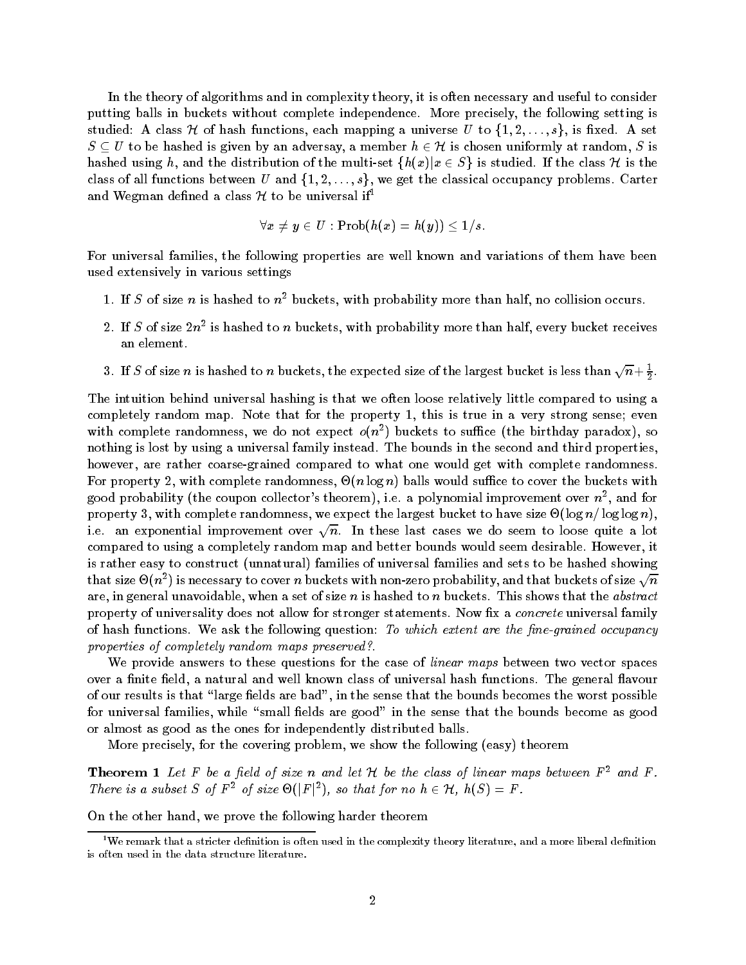In the theory of algorithms and in complexity theory it is often necessary and useful to consider putting balls in buckets without complete independence More precisely the following setting is studied: A class  ${\mathcal H}$  of hash functions, each mapping a universe  $U$  to  $\{1,2,\ldots,s\},$  is fixed. A set  $S \subseteq U$  to be hashed is given by an adversay, a member  $h \in \mathcal{H}$  is chosen uniformly at random, S is hashed using h, and the distribution of the multi-set  $\{h(x)|x \in S\}$  is studied. If the class H is the class of all functions between  $U$  and  $\{1,2,\ldots,s\},$  we get the classical occupancy problems. Carter and Wegman defined a class  $\mathcal H$  to be universal if<sup>1</sup>

$$
\forall x \neq y \in U : \operatorname{Prob}(h(x) = h(y)) \leq 1/s.
$$

For universal families, the following properties are well known and variations of them have been used extensively in various settings

- 1. If  $S$  of size  $n$  is hashed to  $n$  -buckets, with probability more than half, no collision occurs.
- 2. If  $S$  of size  $2n^-$  is hashed to  $n$  buckets, with probability more than half, every bucket receives  $\blacksquare$ an element
- 3. If S of size n is hashed to n buckets, the expected size of the largest bucket is less than  $\sqrt{n}+\frac{1}{2}$ .

. .

The intuition behind universal hashing is that we often loose relatively little compared to using a completely random map Note that for the property - this is true in a very strong sense even with complete randomness, we do not expect  $o(n)$  puckets to sumce (the birthday paradox), so nothing is lost by using a universal family instead. The bounds in the second and third properties, however, are rather coarse-grained compared to what one would get with complete randomness. For property 2, with complete randomness,  $\Theta(n \log n)$  balls would suffice to cover the buckets with good probability (the coupon collector s theorem), i.e. a polynomial improvement over  $n$  , and for  $\,$ property with complete randomness we expect the largest bucket to have size log n- log log n i.e. an exponential improvement over  $\sqrt{n}.$  In these last cases we do seem to loose quite a lot compared to using a completely random map and better bounds would seem desirable. However, it is rather easy to construct (unnatural) families of universal families and sets to be hashed showing that size  $\Theta(n^2)$  is necessary to cover  $n$  buckets with non-zero probability, and that buckets of size  $\sqrt{n}$ are, in general unavoidable, when a set of size  $n$  is hashed to  $n$  buckets. This shows that the abstract property of universality does not allow for stronger statements. Now fix a *concrete* universal family of hash functions. We ask the following question: To which extent are the fine-grained occupancy properties of completely random maps preserved-

We provide answers to these questions for the case of linear maps between two vector spaces over a finite field, a natural and well known class of universal hash functions. The general flavour of our results is that "large fields are bad", in the sense that the bounds becomes the worst possible for universal families, while "small fields are good" in the sense that the bounds become as good or almost as good as the ones for independently distributed balls

More precisely, for the covering problem, we show the following (easy) theorem

**Theorem 1** Let F be a field of size n and let H be the class of linear maps between  $F^2$  and F. There is a subset S of  $F^2$  of size  $\Theta(|F|^2)$ , so that for no  $h \in H$ ,  $h(S) = F$ .

On the other hand, we prove the following harder theorem

 $^{\rm 1}{\rm W}$ e remark that a stricter definition is often used in the complexity theory literature, and a more liberal definition is often used in the data structure literature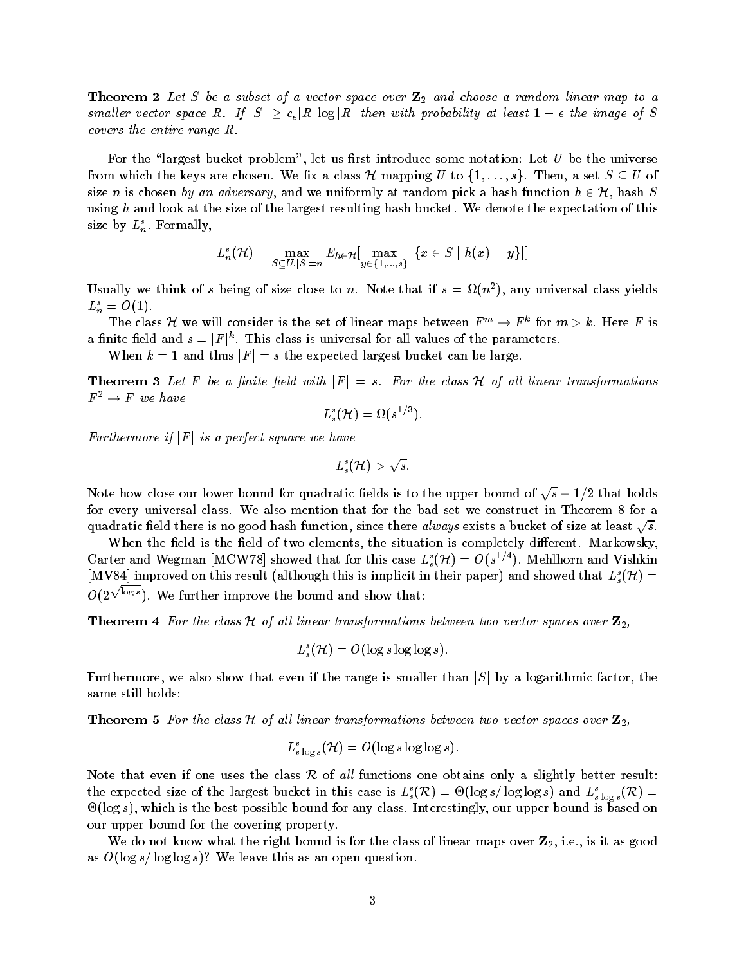$\blacksquare$  Theorem  $\blacksquare$  Let  $S$  be a value of  $\blacksquare$  and choose a random linear map to a smaller vector space R. If  $|S| \ge c_{\epsilon} |R| \log |R|$  then with probability at least  $1 - \epsilon$  the image of S covers the entire range R

For the "largest bucket problem", let us first introduce some notation: Let  $U$  be the universe from which the keys are chosen. We fix a class  ${\mathcal H}$  mapping  $U$  to  $\{1,\ldots,s\}.$  Then, a set  $S\subseteq U$  of size n is chosen by an adversary, and we uniformly at random pick a hash function  $h \in \mathcal{H}$ , hash  $S$ using h and look at the size of the largest resulting hash bucket. We denote the expectation of this size by  $L_n^s$ . Formally,

$$
L_n^s(\mathcal{H})=\max_{S\subseteq U, |S|=n} E_{h\in \mathcal{H}}[\max_{y\in \{1,...,s\}}|\{x\in S\mid h(x)=y\}|]
$$

Usually we think of s being of size close to n. Note that if  $s = M(n^2)$ , any universal class yields  $L_n^s = O(1)$ .

The class H we will consider is the set of linear maps between  $F^m\rightarrow F^k$  for  $m>k.$  Here F is a finite field and  $s = |F|^k.$  This class is universal for all values of the parameters.

When  $k=1$  and thus  $\vert F\vert=s$  the expected largest bucket can be large.

**Theorem 3** Let F be a finite field with  $|F| = s$ . For the class H of all linear transformations  $F^2 \rightarrow F$  we have

$$
L^s_s(\mathcal{H}) = \Omega(s^{1/3}).
$$

Furthermore if  $|F|$  is a perfect square we have

$$
L^s_{s}(\mathcal{H}) > \sqrt{s}.
$$

Note how close our lower bound for quadratic fields is to the upper bound of  $\sqrt{s}+1/2$  that holds for every universal class. We also mention that for the bad set we construct in Theorem 8 for a quadratic field there is no good hash function, since there *always* exists a bucket of size at least  $\sqrt{s}$ .

When the field is the field of two elements, the situation is completely different. Markowsky, Carter and Wegman [MCW78] showed that for this case  $L_s^s(\mathcal{H}) = O(s^{1/4})$ . Mehlhorn and Vishkin  $[{\rm MV84}]$  improved on this result (although this is implicit in their paper) and showed that  $L^s_s(\mathcal{H})=0$  $O(2^{\sqrt{\log s}})$ . We further improve the bound and show that:

**Theorem 4** For the class H of all linear transformations between two vector spaces over  $\mathbf{Z}_2$ ,

$$
L^s_s(\mathcal{H}) = O(\log s \log \log s).
$$

Furthermore, we also show that even if the range is smaller than  $|S|$  by a logarithmic factor, the same still holds

**Theorem 5** For the class H of all linear transformations between two vector spaces over  $\mathbb{Z}_2$ ,

$$
L^s_{s\log s}({\mathcal H})=O(\log s\log\log s).
$$

Note that even if one uses the class R of all functions one obtains only a slightly better result: the expected size of the largest bucket in this case is  $L^s_s(\mathcal{R}) = \Theta(\log s / \log \log s)$  and  $L^s_{s\log s}(\mathcal{R}) =$  $\Theta(\log s)$ , which is the best possible bound for any class. Interestingly, our upper bound is based on our upper bound for the covering property

We do not know what the right bound is for the class of linear maps over  $\mathbf{Z}_2$ , i.e., is it as good as Olog s-United States of the United States of the United States of the United States of the United States of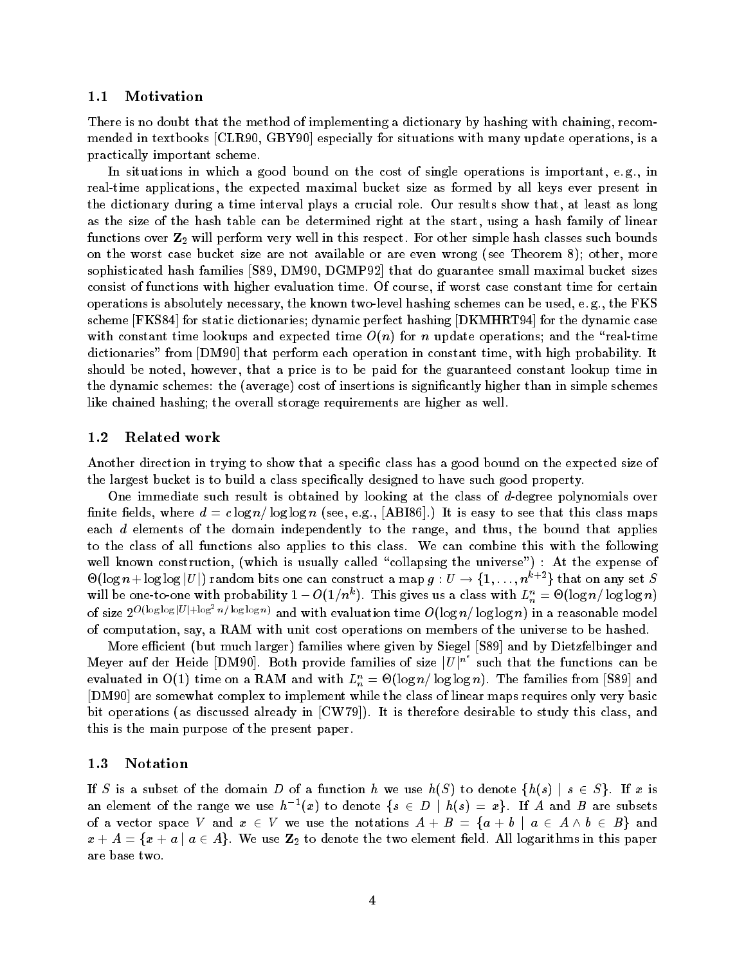#### $1.1$ Motivation

There is no doubt that the method of implementing a dictionary by hashing with chaining recom mended in textbooks  $[CLR90, GBY90]$  especially for situations with many update operations, is a practically important scheme

In situations in which a good bound on the cost of single operations is important, e.g., in real-time applications, the expected maximal bucket size as formed by all keys ever present in the dictionary during a time interval plays a crucial role. Our results show that, at least as long as the size of the hash table can be determined right at the start, using a hash family of linear functions over Z will perform very well in this respect For other simple hash classes such bounds on the worst case bucket size are not available or are even wrong (see Theorem 8); other, more sophisticated hash families  $[589, D M 90, D G M P 92]$  that do guarantee small maximal bucket sizes consist of functions with higher evaluation time Of course if worst case constant time for certain operations is absolutely necessary, the known two-level hashing schemes can be used, e.g., the FKS scheme [FKS84] for static dictionaries; dynamic perfect hashing [DKMHRT94] for the dynamic case with constant time lookups and expected time  $O(n)$  for n update operations; and the "real-time" dictionaries" from [DM90] that perform each operation in constant time, with high probability. It should be noted, however, that a price is to be paid for the guaranteed constant lookup time in the dynamic schemes: the (average) cost of insertions is significantly higher than in simple schemes like chained hashing; the overall storage requirements are higher as well.

#### 1.2 Related work

Another direction in trying to show that a specific class has a good bound on the expected size of the largest bucket is to build a class specifically designed to have such good property.

One immediate such result is obtained by looking at the class of  $d$ -degree polynomials over nite elds where d abit is easy to see that the seed as a complete the seed the seed the seed the seed that the each  $d$  elements of the domain independently to the range, and thus, the bound that applies to the class of all functions also applies to this class We can combine this with the following well known construction, (which is usually called "collapsing the universe") : At the expense of  $\Theta(\log n + \log \log |U|)$  random bits one can construct a map  $g: U \to \{1,\ldots,n^{k+2}\}$  that on any set  $S$ will be one-to-one with probability  $1 - O(1/n^{\alpha})$ . This gives us a class with  $L_n^{\alpha} = \mathcal{O}(\log n / \log \log n)$ of size  $2^{O(\log\log |U| + \log^2 n / \log\log n)}$  and with evaluation time  $O(\log n / \log\log n)$  in a reasonable model of computation, say, a RAM with unit cost operations on members of the universe to be hashed.

More efficient (but much larger) families where given by Siegel [S89] and by Dietzfelbinger and Meyer auf der Heide [DM90]. Both provide families of size  $|U|^{n^c}$  such that the functions can be evaluated in  $O(1)$  the on a RAM and with  $L_n^{\infty} = O(\log n / \log \log n)$ . The families from [589] and [DM90] are somewhat complex to implement while the class of linear maps requires only very basic bit operations (as discussed already in  $[CW79]$ ). It is therefore desirable to study this class, and this is the main purpose of the present paper

#### 1.3 Notation

If S is a subset of the domain D of a function h we use  $h(S)$  to denote  $\{h(s) \mid s \in S\}$ . If x is an element of the range we use  $h^{-1}(x)$  to denote  $\{s\,\in\,D\,\mid\,h(s)\,=\,x\}.$  If  $A$  and  $B$  are subsets of a vector space V and  $x \in V$  we use the notations  $A + B = \{a + b \mid a \in A \land b \in B\}$  and  $x + A = \{x + a \mid a \in A\}.$  We use  $\mathbf{Z}_2$  to denote the two element field. All logarithms in this paper are base two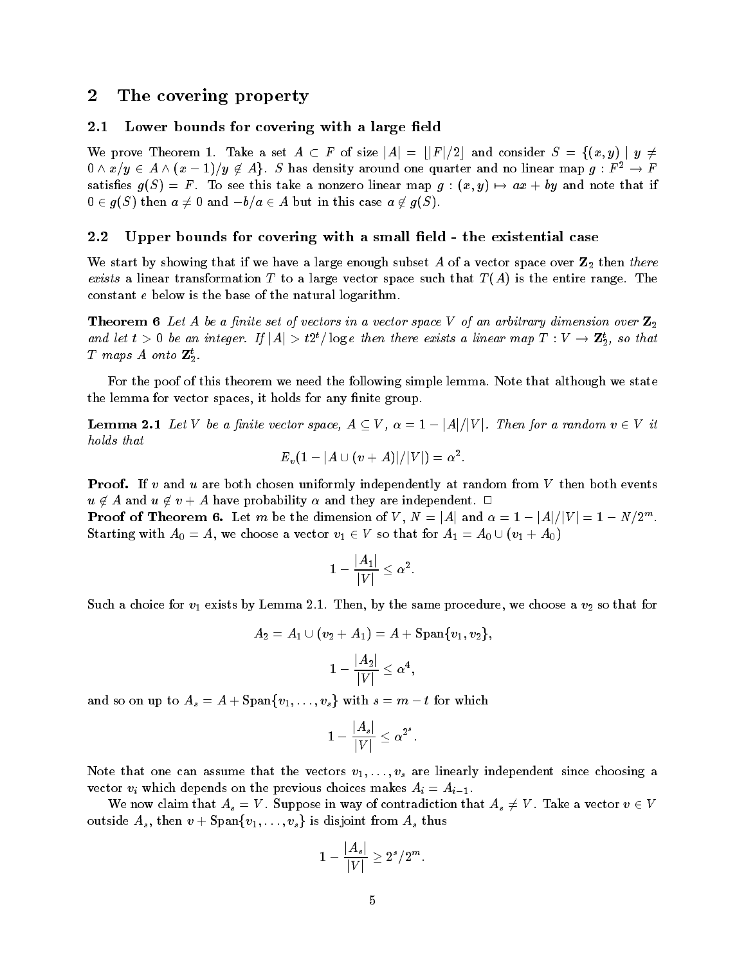#### $\bf{2}$ The covering property

#### -Lower bounds for covering with a large field

We prove Theorem 1. Take a set  $A\, \subset\, F$  of size  $|A| \,=\, \lfloor |F|/2 \rfloor$  and consider  $\,S \,=\, \{(x,y)\,\,|\,\,y \,\neq\, \,$  $0\wedge x/y\in A\wedge (x-1)/y\not\in A\}$ .  $S$  has density around one quarter and no linear map  $g:F^2\to F$ satisfies  $g(\Delta) = F$ . To see this take a nonzero linear map  $g : (x, y) \mapsto ax + by$  and note that if  $0\in g(S) \text{ then } a\neq 0 \text{ and } -b/a \in A \text{ but in this case } a\not\in g(S).$ 

#### --Upper bounds for covering with a small field - the existential case

We start by showing that if we have a large that  $\alpha$  is well as a vector space over  $Z$  then the  $\alpha$ exists a linear transformation T to a large vector space such that  $T(A)$  is the entire range. The constant e below is the base of the natural logarithm

**Theorem 6** Let A be a finite set of vectors in a vector space V of an arbitrary dimension over  $\mathbf{Z}_2$ and let  $t > 0$  be an integer. If  $|A| > t2^t/\log e$  then there exists a linear map  $T : V \to \mathbf{Z}_2^t$ , so that  $I$  maps A onto  $L_2$ .

For the poof of this theorem we need the following simple lemma. Note that although we state the lemma for vector spaces, it holds for any finite group.

**Lemma 2.1** Let V be a finite vector space,  $A \subseteq V$ ,  $\alpha = 1 - |A|/|V|$ . Then for a random  $v \in V$  it holds that

$$
E_v(1-|A\cup (v+A)|/|V|)=\alpha^2.
$$

**Proof.** If v and u are both chosen uniformly independently at random from V then both events  $u \notin A$  and  $u \notin v + A$  have probability  $\alpha$  and they are independent.  $\Box$ 

**Proof of Theorem 6.** Let  $m$  be the dimension of  $V$  ,  $N = |A|$  and  $\alpha = 1 - |A|/|V| = 1 - N/2^m$ . Starting with  $A_0 = A$ , we choose a vector  $v_1 \in V$  so that for  $A_1 = A_0 \cup (v_1 + A_0)$ 

$$
1-\frac{|A_1|}{|V|}\leq \alpha^2.
$$

 $S$  and by the same procedure  $\alpha$   $\mu$  is the same procedure we choose a value of  $\mu$  and that for that for the same procedure  $\mu$ 

$$
A_2=A_1\cup (v_2+A_1)=A+\mathrm{Span}\{v_1,v_2\},\\1-\frac{|A_2|}{|V|}\leq \alpha^4,
$$

and so on up to  $A_s = A + \text{Span}\{v_1, \ldots, v_s\}$  with  $s = m - t$  for which

$$
|1-\frac{|A_s|}{|V|}\leq \alpha^{2^s}.
$$

Note that one can assume that the vectors  $v_1, \ldots, v_s$  are linearly independent since choosing a vector  $v_i$  which depends on the previous choices makes  $A_i = A_{i-1}$ .

We now claim that  $A_s = V$ . Suppose in way of contradiction that  $A_s \neq V$  . Take a vector  $v \in V$ outside  $A_s$ , then  $v + \text{Span}\{v_1, \ldots, v_s\}$  is disjoint from  $A_s$  thus

$$
1-\frac{|A_s|}{|V|}\geq 2^s/2^m.
$$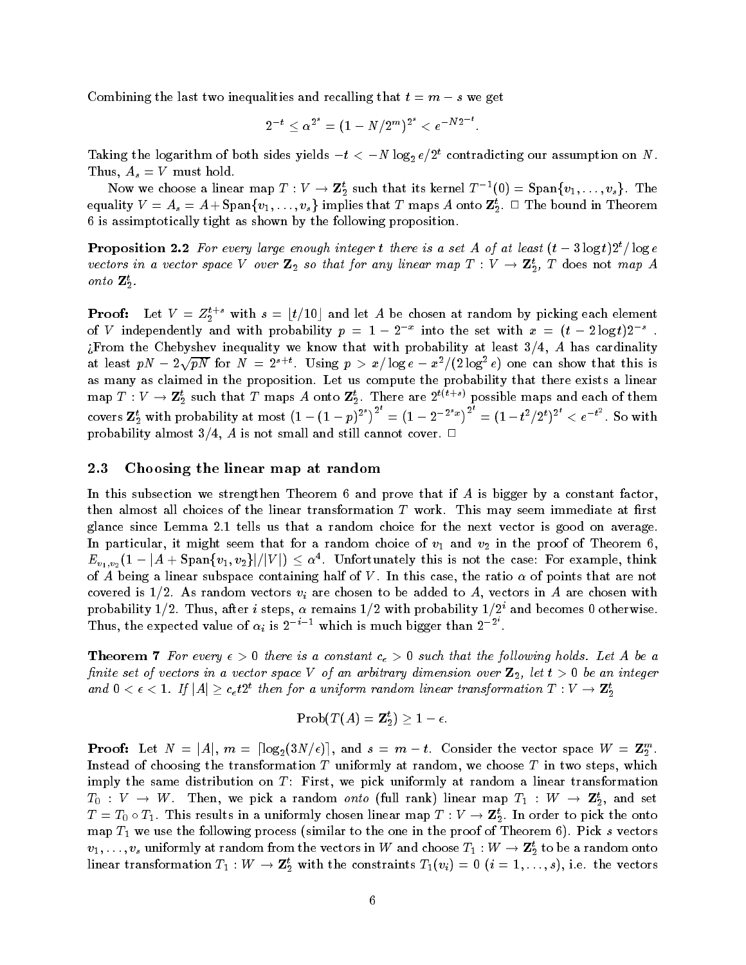Combining the last two inequalities and recalling that  $t = m - s$  we get

$$
2^{-t} \leq \alpha^{2^s} = (1-N/2^m)^{2^s} < e^{-N2^{-t}}.
$$

Taking the logarithm of both sides yields  $-\iota < -N$  log<sub>2</sub>  $e/Z$  contradicting our assumption on N. Thus,  $A_s = V$  must hold.

Now we choose a linear map  $T: V \to \mathbf{Z}_2^t$  such that its kernel  $T^{-1}(0) = \text{Span}\{v_1, \ldots, v_s\}$ . The equality  $V\,=\,A_s\,=\,A+\mathrm{Span}\,\{v_1,\ldots,v_s\}$  implies that  $T$  maps  $A$  onto  $\mathbf{Z}_2^t. \;\Box$  The bound in Theorem 6 is assimptotically tight as shown by the following proposition.

**Proposition 2.2** For every large enough integer t there is a set A of at least  $(t - \delta \log t)Z$  fog e vectors in a vector space  $\mathsf{v}$  over  $\mathbf{z}_2$  so that for any inear map  $1$  :  $\mathsf{v} \to \mathbf{z}_2$ ,  $1$  does not map A onto  $L_2$ .

**Proof:** Let  $V = Z_2^{t+s}$  with  $s = \lfloor t/10 \rfloor$  and let  $A$  be chosen at random by picking each element of V independently and with probability  $p = 1 - 2^{-x}$  into the set with  $x = (t - 2 \log t)2^{-s}$  . From the Chebyshev inequality we know that with probability at least - A has cardinality at least  $pN-2\sqrt{pN}$  for  $N\,=\,2^{s+t}$ . Using  $p\,>\,x/\log e\,-\,x^2/(2\log^2 e)$  one can show that this is as many as claimed in the proposition. Let us compute the probability that there exists a linear map  $I: V \to \mathbf{Z}_2^s$  such that T maps A onto  $\mathbf{Z}_2^s$ . There are  $Z^{s_1 \times s_2}$  possible maps and each of them covers  ${\bf Z}_2^t$  with probability at most  $\left(1-(1-p)^{2^s}\right)^{2^s}=\left(1-2^{-2^sx}\right)^{2^s}=(1-t^2/2^t)^{2^t}< e^{-t^2}.$  So with  $p \sim 0.01$  is not small cannot called  $p \sim 0.01$  . The still coverage  $p \sim 0.01$ 

#### -Choosing the linear map at random

In this subsection we strengthen Theorem 6 and prove that if A is bigger by a constant factor, then almost all choices of the linear transformation  $T$  work. This may seem immediate at first glance since Lemma - tells us that a random choice for the next vector is good on average In particular it might seem that for a random choice of v in the proof of v in the proof of  $\alpha$  $E_{v_1,v_2}(1-|A+\text{Span}\{v_1,v_2\}|/|V|) \leq \alpha^4.$  Unfortunately this is not the case: For example, think of A being a linear subspace containing half of V. In this case, the ratio  $\alpha$  of points that are not covered is -- As random vectors vi are chosen to be added to A vectors in <sup>A</sup> are chosen with probability 1/2. Thus, after  $\imath$  steps,  $\alpha$  remains 1/2 with probability 1/2 and becomes 0 otherwise. Thus, the expected value of  $\alpha_i$  is  $2^{-i-1}$  which is much bigger than  $2^{-i}$ .

**Theorem 7** For every  $\epsilon > 0$  there is a constant  $c_{\epsilon} > 0$  such that the following holds. Let A be a finite set of vectors in a vector space V of an arbitrary dimension over  $\mathbb{Z}_2$ , let  $t > 0$  be an integer and  $0 < \epsilon < 1$ . If  $|A| \geq c_{\epsilon}t2^{t}$  then for a uniform random linear transformation  $T : V \to \mathbf{Z}_{2}^{t}$ -

$$
\mathrm{Prob}(T(A) = \mathbf{Z}_2^t) \geq 1 - \epsilon.
$$

**Proof:** Let  $N = |A|$ ,  $m = \lceil \log_2(3N/\epsilon) \rceil$ , and  $s = m - t$ . Consider the vector space  $W = \mathbf{Z}_2^m$ . -Instead of choosing the transformation  $T$  uniformly at random, we choose  $T$  in two steps, which imply the same distribution on  $T$ : First, we pick uniformly at random a linear transformation  $I_0: V \to W$ . Then, we pick a random *onto* (full rank) linear map  $I_1: W \to \mathbf{Z}_2^s$ , and set  $T=T_0\circ T_1.$  This results in a uniformly chosen linear map  $T:V\to{\bf Z}_2^s.$  In order to pick the onto map T we use the following process (similar to the one in the proof of Theorem () Theorem I to the s  $v_1,\ldots,v_s$  uniformly at random from the vectors in  $W$  and choose  $I_1:W\to \mathbf{Z}_2^s$  to be a random onto linear transformation  $T_1: W \to \mathbf{Z}_2^s$  with the constraints  $T_1(v_i) = 0$   $(i = 1, \ldots, s),$  i.e. the vectors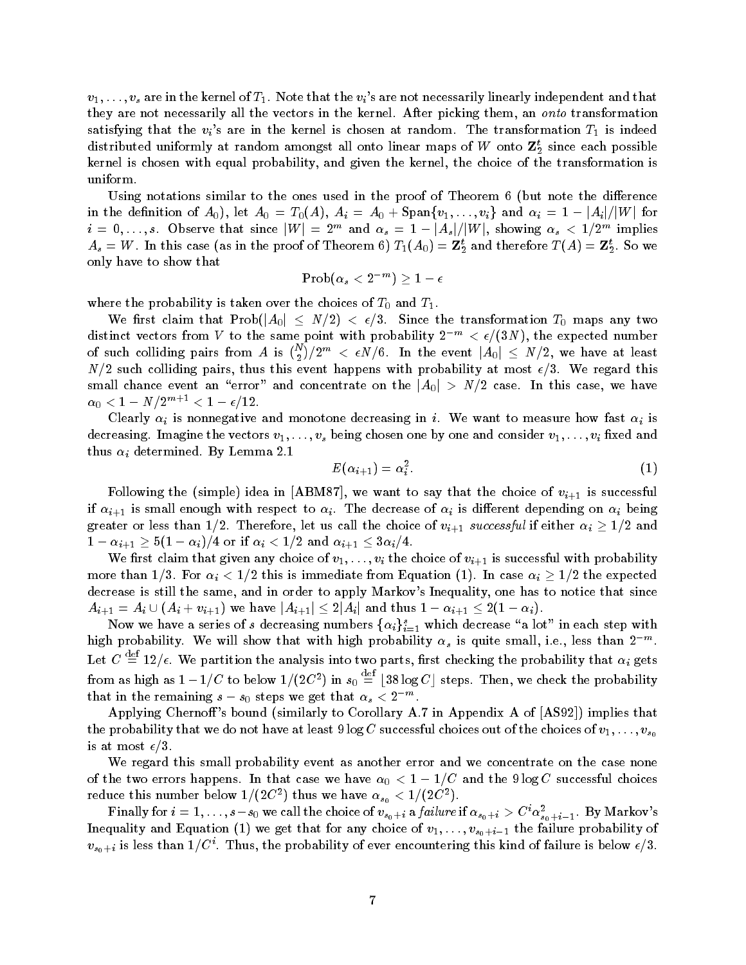$v_1, \ldots, v_s$  are in the kernel of  $T_1$ . Note that the  $v_i$ 's are not necessarily linearly independent and that they are not necessarily all the vectors in the kernel. After picking them, an onto transformation satisfying that the  $v_i$ 's are in the kernel is chosen at random. The transformation  $T_1$  is indeed distributed uniformly at random amongst an onto linear maps of  $W$  onto  $\mathbf{z}_2$  since each possible kernel is chosen with equal probability, and given the kernel, the choice of the transformation is uniform

Using notations similar to the ones used in the proof of Theorem  $6$  (but note the difference in the definition of  $A_0$ ), let  $A_0$  =  $T_0(A), \ A_i$  =  $A_0 + {\rm Span}\{v_1, \ldots, v_i\}$  and  $\alpha_i$  = 1 –  $|A_i|/|W|$  for  $i=0,\ldots,s.$  Observe that since  $|W|=2^m$  and  $\alpha_s=1-|A_s|/|W|,$  showing  $\alpha_s< 1/2^m$  implies  $A_s = W$  . In this case (as in the proof of Theorem b)  $I_1(A_0) = \mathbf{Z}_2$  and therefore  $I(A) = \mathbf{Z}_2$  . So we only have to show that

$$
\mathrm{Prob}(\alpha_s < 2^{-m}) \geq 1 - \epsilon
$$

where the probability is taken over the choices of T and T and T and T and T and T and T and T and T and T and T and T and T and T and T and T and T and T and T and T and T and T and T and T and T and T and T and T and T

We first claim that  $\mathrm{Prob}(|A_0|~\leq~N/2)~<~\epsilon/3.~$  Since the transformation  $T_0$  maps any two distinct vectors from V to the same point with probability  $2^{-m} < \epsilon/(3N)$ , the expected number of such colliding pairs from  $A$  is  $\binom{N}{2}/2^m$   $< \epsilon N/6.$  In the event  $|A_0|$   $\leq$   $N/2,$  we have at least N- such colliding pairs thus this event happens with probability at most - We regard this small chance event an "error" and concentrate on the  $\vert A_0\vert \, > \, N/2$  case. In this case, we have  $\alpha_0 < 1 - N/2^{m+1} < 1 - \epsilon/12$ .

Clearly  $\alpha_i$  is nonnegative and monotone decreasing in i. We want to measure how fast  $\alpha_i$  is decreasing. Imagine the vectors  $v_1, \ldots, v_s$  being chosen one by one and consider  $v_1, \ldots, v_i$  fixed and thus  $\alpha_i$  determined. By Lemma 2.1

$$
E(\alpha_{i+1}) = \alpha_i^2. \tag{1}
$$

Following the (simple) idea in [ABM87], we want to say that the choice of  $v_{i+1}$  is successful if  $\alpha_{i+1}$  is small enough with respect to  $\alpha_i$ . The decrease of  $\alpha_i$  is different depending on  $\alpha_i$  being greater or less than 1/2. Therefore, let us call the choice of  $v_{i+1}$  successful if either  $\alpha_i \geq 1/2$  and  $1-\alpha_{i+1} \ge 5(1-\alpha_i)/4$  or if  $\alpha_i < 1/2$  and  $\alpha_{i+1} \le 3\alpha_i/4$ .

We first claim that given any choice of  $v_1, \ldots, v_i$  the choice of  $v_{i+1}$  is successful with probability more than  $1/3$ . For  $\alpha_i < 1/2$  this is immediate from Equation (1). In case  $\alpha_i \geq 1/2$  the expected decrease is still the same, and in order to apply Markov's Inequality, one has to notice that since  $A_{i+1} = A_i \cup (A_i + v_{i+1})$  we have  $|A_{i+1}| \leq 2|A_i|$  and thus  $1 - \alpha_{i+1} \leq 2(1 - \alpha_i)$ .

Now we have a series of  $s$  decreasing numbers  $\{\alpha_i\}_{i=1}^s$  which decrease "a lot" in each step with  $\cdot$ high probability. We will show that with high probability  $\alpha_s$  is quite small, i.e., less than  $2^{-m}$ . Let  $C \equiv 12/\epsilon$ . We partition the analysis into two parts, first checking the probability that  $\alpha_i$  gets ifrom as high as  $1 - 1/U$  to below  $1/(2U^*)$  in  $s_0 =$  $\stackrel{\text{def}}{=}$  [38 log C] steps. Then, we check the probability that in the remaining  $s-s_0$  steps we get that  $\alpha_s < 2^{-m}$  .

Applying Chernoff's bound (similarly to Corollary A.7 in Appendix A of  $\rm [AS92])$  implies that the probability that we do not have at least  $9 \log C$  successful choices out of the choices of  $v_1, \ldots, v_{s_0}$ is at most -

We regard this small probability event as another error and we concentrate on the case none of the two efforts happens. In that case we have  $\alpha_0 \leq 1 - 1/\sigma$  and the  $\sigma$ log C successful choices reduce this number below  $1/(2C^2)$  thus we have  $\alpha_{s_0} < 1/(2C^2)$ .

**F** inally for  $i = 1, \ldots, s - s_0$  we call the choice of  $v_{s_0+i}$  a *failure* if  $\alpha_{s_0+i} > \mathrm{C}^{\cdot} \alpha_{s_0+i-1}$ . By Markov s s- $\sum_{i=1}^N \sum_{i=1}^N \sum_{i=1}^N \sum_{i=1}^N \sum_{i=1}^N \sum_{i=1}^N \sum_{i=1}^N \sum_{i=1}^N \sum_{i=1}^N \sum_{i=1}^N \sum_{i=1}^N \sum_{i=1}^N \sum_{i=1}^N \sum_{i=1}^N \sum_{i=1}^N \sum_{i=1}^N \sum_{i=1}^N \sum_{i=1}^N \sum_{i=1}^N \sum_{i=1}^N \sum_{i=1}^N \sum_{i=1}^N \sum_{i=1}^N \sum_{i=1}^N \sum_{i$  $v_{s_0+i}$  is less than 1/C . Thus, the probability of ever encountering this kind of failure is below  $\epsilon/\delta.$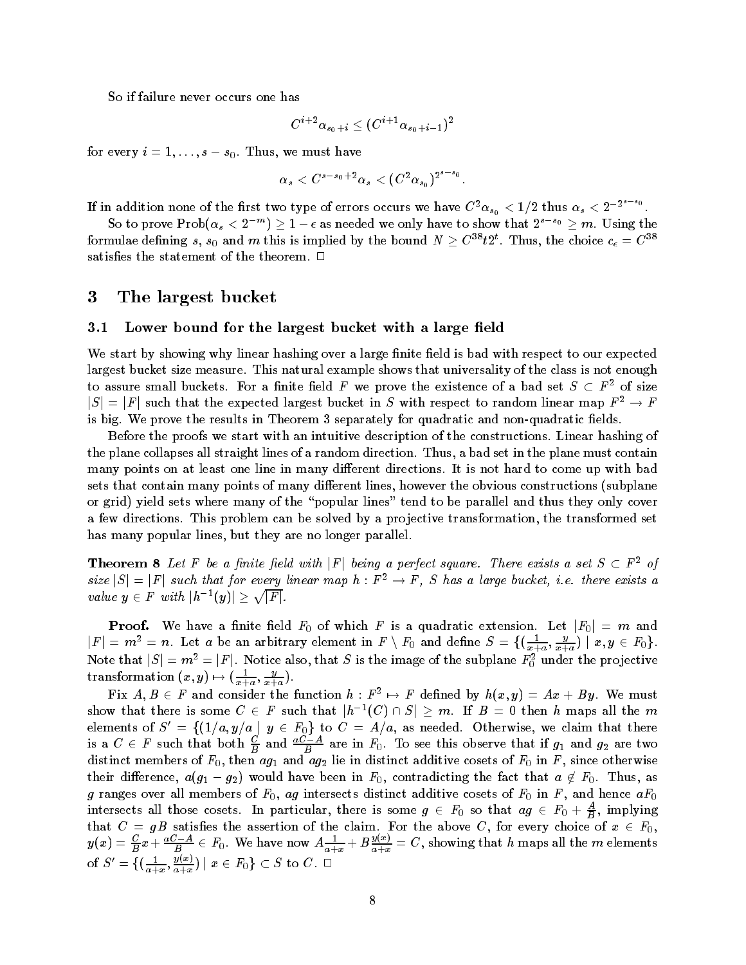So if failure never occurs one has

$$
C^{i+2}\alpha_{s_0+i}\leq (C^{i+1}\alpha_{s_0+i-1})^2
$$

for every  $i = 1, \ldots, s = s_0$ . Thus, we must have

$$
\alpha_s < C^{s-s_0+2} \alpha_s < (C^2 \alpha_{s_0})^{2^{s-s_0}}
$$

If in addition none of the first two type of errors occurs we have  $C^2\alpha_{s_0} < 1/2$  thus  $\alpha_s < 2^{-2s-s}$ .

So to prove  $\text{Prob}(\alpha_s < 2^{-m}) \geq 1 - \epsilon$  as needed we only have to show that  $2^{s-s_0} \geq m$ . Using the formulae defining  $s, s_0$  and  $m$  this is implied by the bound  $N \geq C^{s \bullet} t 2^t$ . Thus, the choice  $c_\epsilon = C^{s \bullet}$ satisfies the statement of the theorem.  $\Box$ 

#### 3 The largest bucket

#### $3.1$ Lower bound for the largest bucket with a large field

We start by showing why linear hashing over a large finite field is bad with respect to our expected largest bucket size measure. This natural example shows that universality of the class is not enough to assure small buckets. For a finite field F we prove the existence of a bad set  $S \subset F^2$  of size  $|S| = |F|$  such that the expected largest bucket in S with respect to random linear map  $F^2 \to F$ is big We prove the results in Theorem I are non-quadratic and non-quadratic elds in the non-

Before the proofs we start with an intuitive description of the constructions Linear hashing of the plane collapses all straight lines of a random direction Thus a bad set in the plane must contain many points on at least one line in many different directions. It is not hard to come up with bad sets that contain many points of many different lines, however the obvious constructions (subplane or grid) yield sets where many of the "popular lines" tend to be parallel and thus they only cover a few directions. This problem can be solved by a projective transformation, the transformed set has many popular lines, but they are no longer parallel.

**Theorem 8** Let F be a finite field with  $|F|$  being a perfect square. There exists a set  $S \subset F^2$  of size  $|S| = |F|$  such that for every linear map  $h : F^2 \to F$ , S has a large bucket, i.e. there exists a value  $y \in F$  with  $|h^{-1}(y)| \geq \sqrt{|F|}$ .

**Proof.** We have a finite field  $F_0$  of which  $F$  is a quadratic extension. Let  $|F_0| = m$  and  $|F| = m^2 = n.$  Let  $a$  be an arbitrary element in  $F \setminus F_0$  and define  $S = \{(\frac{1}{x+a}, \frac{y}{x+a}) \mid x,y \in F_0\}.$ Note that  $|S| = m^2 = |F|$ . Notice also, that  $S$  is the image of the subplane  $F_0^2$  under the projective transformation  $(x, y) \mapsto (\frac{y}{x+1}, \frac{y}{y+1})$ .

Fix  $A, B \in F$  and consider the function  $h : F^2 \mapsto F$  defined by  $h(x, y) = Ax + By$ . We must show that there is some  $C \,\in\, F$  such that  $|h^{-1}(C) \cap S| \,\geq\, m.$  If  $B \,=\, 0$  then  $h$  maps all the  $m$ elements of  $S' \,=\, \{(1/a,y/a\,\mid\, y\,\in\, F_0\}$  to  $C \,=\, A/a,$  as needed. Otherwise, we claim that there is a  $C \in F$  such that both  $\frac{\omega}{B}$  and  $\frac{a\omega-A}{B}$  are in  $F_0$ . To see this observe that if  $g_1$  and  $g_2$  are two distinct members of F then ag and ag lie in distinct additive cosets of F in <sup>F</sup> since otherwise their difference,  $a(g_1-g_2)$  would have been in  $F_0$ , contradicting the fact that  $a \not\in F_0$ . Thus, as g ranges over all members of F ag intersects distinct additive cosets of F in <sup>F</sup> and hence aF intersects all those cosets. In particular, there is some  $g\,\in\, F_0$  so that  $ag\,\in\, F_0+\frac{c_1}{B},$  implying that  $C = gB$  satisfies the assertion of the claim. For the above C, for every choice of  $x \in F_0$ ,  $y(x) = \frac{C}{B}x + \frac{aC-A}{B} \in F_0$ . We have now  $A\frac{1}{a+x} + B\frac{y(x)}{a+x} = C$ , showing that h maps all the m elements of  $S'=\{(\frac{1}{a+x}, \frac{y(x)}{a+x})\mid x\in F_0\}\subset S$  to  $C$  .  $\Box$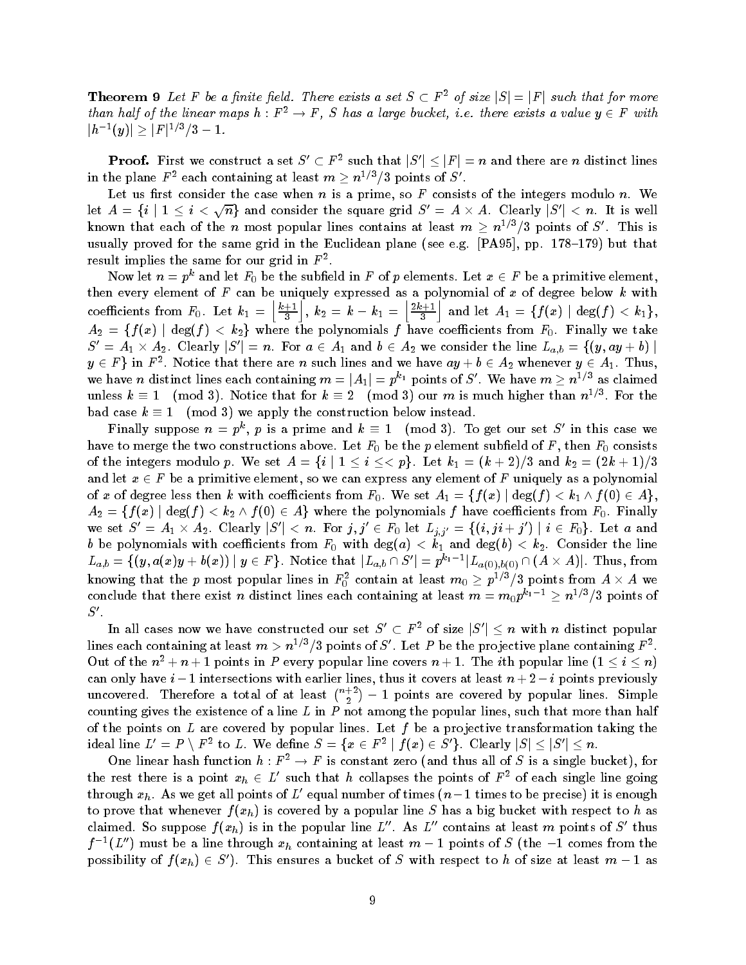**Theorem 9** Let F be a finite field. There exists a set  $S \subset F^2$  of size  $|S| = |F|$  such that for more than half of the linear maps  $h : F^2 \to F$ , S has a large bucket, i.e. there exists a value  $y \in F$  with  $|h^{-1}(y)| \geq |F|^{1/3}/3 - 1.$ 

**Proof.** First we construct a set  $S' \subset F^2$  such that  $|S'| \leq |F| = n$  and there are  $n$  distinct lines in the plane  $F^2$  each containing at least  $m \ge n^{1/3}/3$  points of  $S'.$ 

Let us first consider the case when n is a prime, so F consists of the integers modulo n. We let  $A\,=\,\{i\mid 1\,\leq\,i\,<\sqrt{n}\}$  and consider the square grid  $S'\,=\,A\times A$ . Clearly  $|S'|\,<\,n.$  It is well known that each of the n most popular lines contains at least  $m \ge n^{1/3}/3$  points of S'. This is usually proved for the same grid in the Euclidean plane see eg PA pp - - but that result implies the same for our grid in  $F^-.$ 

Now let  $n = p^{\kappa}$  and let  $F_0$  be the subfield in  $F$  of  $p$  elements. Let  $x \in F$  be a primitive element, then every element of  $F$  can be uniquely expressed as a polynomial of  $x$  of degree below  $k$  with coe contract and the coefficients from F Let kind the Coefficients of the Coefficients of the Coefficients of the Coefficients of the Coefficients of the Coefficients of the Coefficients of the Coefficients of the Coeffici  $\lfloor k+1 \rfloor$  $\left. \frac{+1}{3} \right| ,\ k_2 \ =\ k\, -\, k_1 \ =\ \left| \frac{2\,k+1}{3} \right|$  $\vert 2k+1 \vert$  $\frac{k+1}{3} \Big\vert \text{ and let } A_1 \,=\, \{f(x) \,\,|\,\deg(f) \,<\, k_1\},$  $A_2 \,=\, \{f(x) \,\mid\, \deg(f) \,<\,k_2\}$  where the polynomials  $f$  have coefficients from  $F_0.$  Finally we take  $S' = A_1 \times A_2.$  Clearly  $|S'| = n.$  For  $a \in A_1$  and  $b \in A_2$  we consider the line  $L_{a,b} = \{(y, ay + b) \mid a \in A_1\}$  $y\in F\}$  in  $F^2.$  Notice that there are  $n$  such lines and we have  $ay+b\in A_2$  whenever  $y\in A_1.$  Thus, we have n distinct lines each containing  $m = |A_1| = p^{k_1}$  points of S'. We have  $m \geq n^{1/3}$  as claimed unless  $k \equiv 1 \pmod{3}$ . Notice that for  $k \equiv 2 \pmod{3}$  our  $m$  is much higher than  $n^{1/8}$ . For the bad case  $k \equiv 1 \pmod{3}$  we apply the construction below instead.

Finally suppose  $n = p^k$ , p is a prime and  $k \equiv 1 \pmod{3}$ . To get our set S' in this case we have to merget the two constructions above Let  $V$  be the p element subsets above  $\mathcal{U}$  and  $\mathcal{U}$ of the integers modulo  $p.$  We set  $A\,=\,\{i\mid 1\,\leq\,i\,\leq\,<\,p\}$ . Let  $k_1\,=\, (k+2)/3$  and  $k_2\,=\, (2k+1)/3$ and let  $x \in F$  be a primitive element, so we can express any element of F uniquely as a polynomial of  $x$  of degree less then  $k$  with coefficients from  $F_0.$  We set  $A_1 = \{f(x) \mid \deg(f) < k_1 \wedge f(0) \in A\},$  $A_2 = \{f(x) \mid \deg(f) < k_2 \wedge f(0) \in A\}$  where the polynomials  $f$  have coefficients from  $F_0.$  Finally we set  $S'=A_1\times A_2.$  Clearly  $|S'|< n.$  For  $j,j'\in F_0$  let  $L_{j,j'}=\{(i,ji+j')\mid i\in F_0\}.$  Let  $a$  and b be polynomials with coe
cients from F with dega k and degb k Consider the line  $L_{a,b} = \{ (y, a(x)y + b(x)) \mid y \in F \}.$  Notice that  $|L_{a,b} \cap S'| = p^{k_1-1} |L_{a(0),b(0)} \cap (A \times A)|.$  Thus, from knowing that the  $p$  most popular lines in  $F_0^z$  contain at least  $m_0 \geq p^{1/s}/3$  points from  $A \times A$  we conclude that there exist n distinct lines each containing at least  $m = m_0 p^{\kappa_1 - 1} \ge n^{1/3}/3$  points of  $S'.$ 

In all cases now we have constructed our set  $S' \subset F^2$  of size  $|S'| \leq n$  with n distinct popular lines each containing at least  $m>n^{1/3}/3$  points of S'. Let P be the projective plane containing  $F^2$ . Out of the  $n^2 + n + 1$  points in P every popular line covers  $n + 1$ . The *i*th popular line  $(1 \le i \le n)$ can only have  $i-1$  intersections with earlier lines, thus it covers at least  $n+z-i$  points previously uncovered. Therefore a total of at least  $\binom{n+2}{2}-1$  points are covered by popular lines. Simple counting gives the existence of a line  $L$  in  $P$  not among the popular lines, such that more than half of the points on  $L$  are covered by popular lines. Let  $f$  be a projective transformation taking the ideal line  $L'=P\setminus F^2$  to  $L.$  We define  $S=\{x\in F^2\mid f(x)\in S'\}.$  Clearly  $|S|\leq |S'|\leq n.$ 

One linear hash function  $h : F^2 \to F$  is constant zero (and thus all of S is a single bucket), for the rest there is a point  $x_h \in L'$  such that h collapses the points of  $F^2$  of each single line going through  $x_h$ . As we get all points of L' equal number of times  $(n-1)$  times to be precise) it is enough to prove that whenever  $f(x_h)$  is covered by a popular line S has a big bucket with respect to h as claimed. So suppose  $f(x_h)$  is in the popular line L''. As L'' contains at least m points of S' thus  $f^{-1}(L'')$  must be a line through  $x_h$  containing at least  $m-1$  points of S (the  $-1$  comes from the possibility of  $f(x_h) \in S'$ ). This ensures a bucket of S with respect to h of size at least  $m-1$  as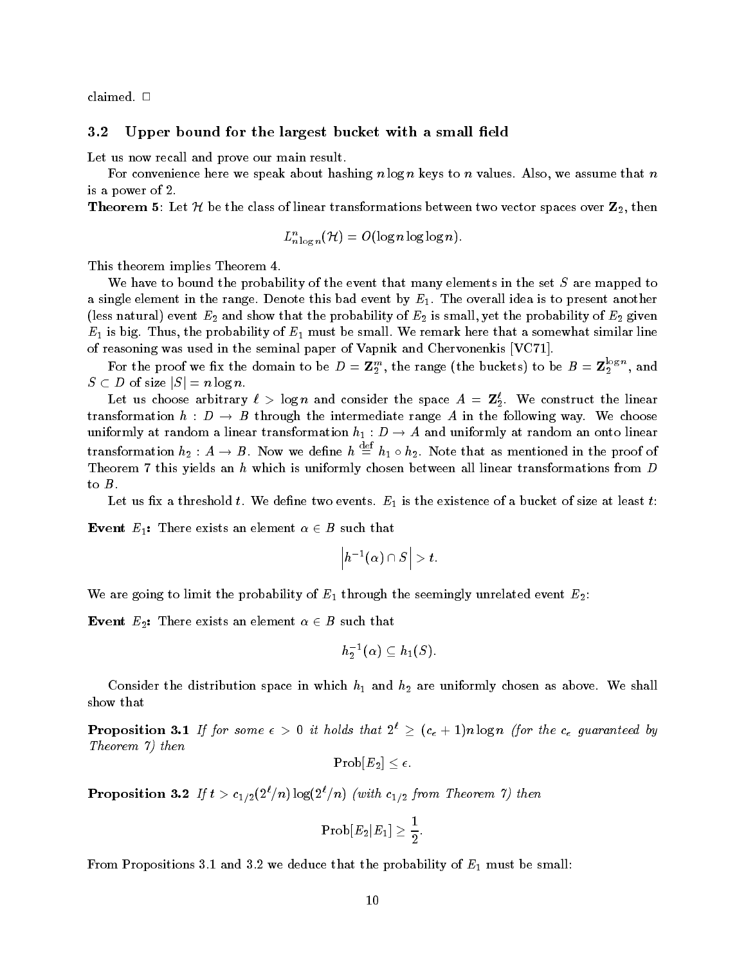claimed

#### $3.2$ Upper bound for the largest bucket with a small field

Let us now recall and prove our main result.

For convenience here we speak about hashing  $n \log n$  keys to n values. Also, we assume that n is a power of

**Theorem 5:** Let H be the class of linear transformations between two vector spaces over  $\mathbf{Z}_2$ , then

$$
L^n_{n \log n}(\mathcal{H}) = O(\log n \log \log n).
$$

This theorem implies Theorem 4.

We have to bound the probability of the event that many elements in the set S are mapped to a single element in the range. Denote this bad event by  $E_1$ . The overall idea is to present another less natural event E and show that the probability of E is small yet the probability of E given  $E = \begin{bmatrix} 1 & 1 \end{bmatrix}$  be small We remark here that a somewhat similar line that a somewhat similar line  $d$ of reasoning was used in the seminal paper of Vapnik and Chervonenkis VC-

For the proof we fix the domain to be  $D = \mathbf{Z}_2^m$ , the range (the buckets) to be  $B = \mathbf{Z}_2^{s_0}$ , and  $S \subset D$  of size  $|S| = n \log n$ .

Let us choose arbitrary  $\ell > \log n$  and consider the space  $A = \mathbf{Z}_2$ . We construct the finear transformation  $h : D \to B$  through the intermediate range A in the following way. We choose uniformly at random a linear transformation  $n_1 : D \to A$  and uniformly at random an onto linear transformation  $h_2: A \to B$ . Now we define  $h \equiv h_1 \circ h_2$ . Note that as mentioned in the proof of Theorem 7 this yields an  $h$  which is uniformly chosen between all linear transformations from  $D$ to  $B$ .

Let us the threshold threshold threshold threshold threshold threshold threshold threshold threshold threshold

**Event**  $E_1$ : There exists an element  $\alpha \in B$  such that

$$
\left|h^{-1}(\alpha)\cap S\right|>t.
$$

 $\mathcal{U} = \mathcal{U} = \mathcal{U} = \mathcal{U} = \mathcal{U} = \mathcal{U} = \mathcal{U} = \mathcal{U} = \mathcal{U} = \mathcal{U} = \mathcal{U} = \mathcal{U} = \mathcal{U} = \mathcal{U} = \mathcal{U} = \mathcal{U} = \mathcal{U} = \mathcal{U} = \mathcal{U} = \mathcal{U} = \mathcal{U} = \mathcal{U} = \mathcal{U} = \mathcal{U} = \mathcal{U} = \mathcal{U} = \mathcal{U} = \mathcal{U} = \mathcal{U} = \mathcal{U} = \mathcal{U} = \mathcal$ 

**Event**  $E_2$ : There exists an element  $\alpha \in B$  such that

$$
h_2^{-1}(\alpha) \subseteq h_1(S).
$$

Consider the distribution space in which h and h are uniformly chosen as above We shall show that

**Proposition 3.1** If for some  $\epsilon > 0$  it holds that  $2^{\iota} \geq (c_{\epsilon} + 1)n \log n$  (for the  $c_{\epsilon}$  guaranteed by Theorem  $\eta$ ) then

$$
\operatorname{Prob}[E_2] \leq \epsilon.
$$

**Proposition 5.2** If  $\iota > c_{1/2}(\lambda/n) \log(\lambda/n)$  (with  $c_{1/2}$  from Theorem 1) then

$$
\text{Prob}[E_2|E_1]\geq \frac{1}{2}.
$$

From Propositions - and we deduce that the probability of E must be small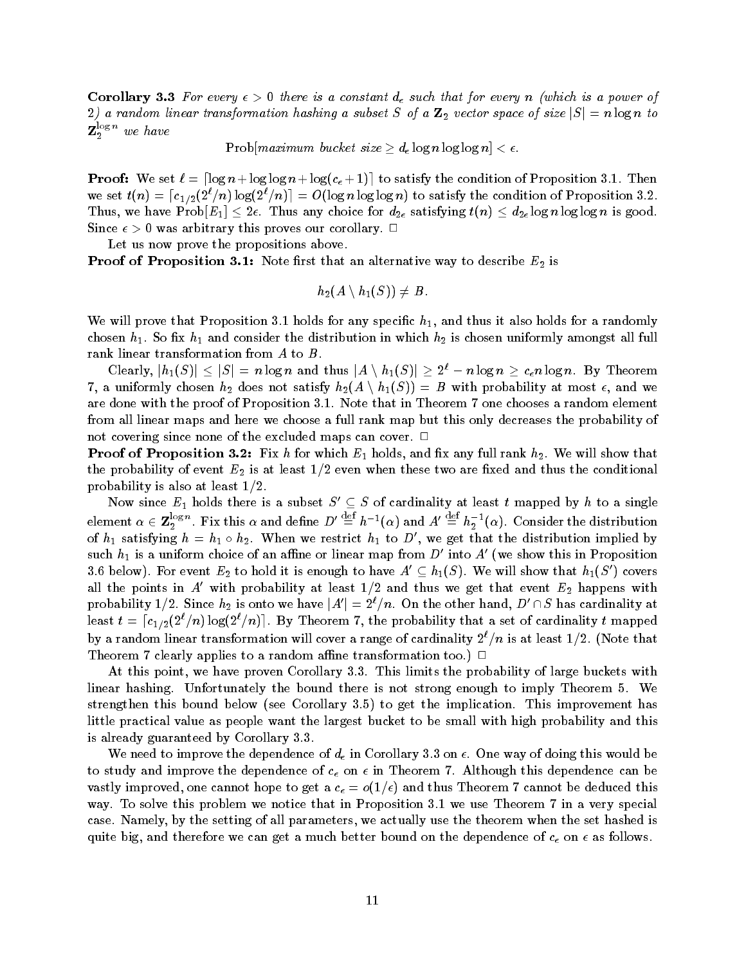Corollary City Ten seedy of Sules to a constant affection that for every n familiar to a power of  $2)$  a random linear transformation hashing a subset  $S$  of a  ${\bf Z}_2$  vector space of size  $|S|=n\log n$  to  $\mathbf{Z}_2^{\text{new}}$  we have

Prob $\lceil \text{maximum bucket size} \geq d_{\epsilon} \log n \log \log n \rceil < \epsilon$ .

**Proof:** We set  $\ell = \lceil \log n + \log \log n + \log(c_{\epsilon} + 1) \rceil$  to satisfy the condition of Proposition 3.1. Then we set  $t(n) = \lceil c_{1/2}(2^\ell/n) \log(2^\ell/n) \rceil = O(\log n \log \log n)$  to satisfy the condition of Proposition 3.2. Thus, we have Prob $[E_1] \leq 2\epsilon$ . Thus any choice for  $d_{2\epsilon}$  satisfying  $t(n) \leq d_{2\epsilon} \log n \log \log n$  is good. Since  $\epsilon > 0$  was arbitrary this proves our corollary.  $\Box$ 

Let us now prove the propositions above.

 $\blacksquare$  Proof of  $\blacksquare$  Proposition - The alternative way to describe  $\blacksquare$  is that an alternative  $\blacksquare$  is that an alternative  $\blacksquare$ 

$$
h_2(A\setminus h_1(S))\neq B_+
$$

will be a control that Prove that Proposition and the proposition  $\mathcal{P}_1$  , which it also holds for a randomly and chosen his chosen his which is chosen the distribution in which has chosen  $\alpha_2$  and the distribution  $\beta$  and  $\beta$  and  $\beta$  and  $\beta$ rank linear transformation from  $A$  to  $B$ .

Clearly,  $|h_1(S)| \leq |S| = n \log n$  and thus  $|A \setminus h_1(S)| \geq 2^{\ell} - n \log n \geq c_{\epsilon} n \log n$ . By Theorem 7, a uniformly chosen  $h_2$  does not satisfy  $h_2(A \setminus h_1(S)) = B$  with probability at most  $\epsilon,$  and we are done with the proof of Proposition - Note that in Theorem one chooses a random element from all linear maps and here we choose a full rank map but this only decreases the probability of not covering since none of the excluded maps can cover.  $\Box$ 

 $\blacksquare$  Pool of  $\blacksquare$  Pools and the state  $\blacksquare$  and  $\blacksquare$  and  $\blacksquare$  and  $\blacksquare$  and  $\blacksquare$  and  $\blacksquare$  and  $\blacksquare$  and  $\blacksquare$  and  $\blacksquare$  and  $\blacksquare$  and  $\blacksquare$  and  $\blacksquare$  and  $\blacksquare$  and  $\blacksquare$  and  $\blacksquare$  and  $\blacksquare$  and  $\bl$ the probability of event E  $\mu$  at least -  $\mu$  is at least the conditional the conditional the conditional the conditional probability is also at least - and - and - and - and - and - and - and - and - and - and - and - and - and - a

Now since  $E_1$  holds there is a subset  $S' \subseteq S$  of cardinality at least t mapped by h to a single element  $\alpha\in\mathbf{Z}_2^{\log n}.$  Fix this  $\alpha$  and define  $D'\stackrel{\mathrm{{\scriptscriptstyle def}}}{=} h^{-1}(\alpha)$  and  $A'\stackrel{\mathrm{{\scriptscriptstyle def}}}{=} h_2^{-1}(\alpha).$  Consider the distribution of  $h_1$  satisfying  $h = h_1 \circ h_2$ . When we restrict  $h_1$  to D', we get that the distribution implied by such  $h_1$  is a uniform choice of an affine or linear map from  $D^\prime$  into  $A^\prime$  (we show this in Proposition 3.6 below). For event  $E_2$  to hold it is enough to have  $A' \subseteq h_1(S)$ . We will show that  $h_1(S')$  covers all the points in A' with probability at least  $1/2$  and thus we get that event  $E_2$  happens with probability  $1/2.$  Since  $h_2$  is onto we have  $|A'|=2^\ell/n.$  On the other hand,  $D'\cap S$  has cardinality at least  $t = \lceil c_{1/2} (2^\ell/n) \log(2^\ell/n) \rceil.$  By Theorem 7, the probability that a set of cardinality  $t$  mapped by a random linear transformation will cover a range of cardinality  $2^+/n$  is at least  $1/2$ . Thole that Theorem 7 clearly applies to a random affine transformation too.)  $\Box$ 

At this point we have proven Corollary This limits the probability of large buckets with linear hashing. Unfortunately the bound there is not strong enough to imply Theorem 5. We strengthen the internal below seems the implication  $\mathbf{r}$  is given the implication This implication This imp little practical value as people want the largest bucket to be small with high probability and this is already guaranteed by Corollary

we need to improve the dependence of d<sub>6</sub> importantly the distributive this would this would this would be to study and improve the dependence of  $c_{\epsilon}$  on  $\epsilon$  in Theorem 7. Although this dependence can be vastly improved one cannot theorem to get a c  $\alpha$  -  $\alpha$  ,  $\alpha$  and thus Theorem Cannot be deduced this compo way To solve this problem we notice that in Problem we notice that in Proposition and the very special to the v case. Namely, by the setting of all parameters, we actually use the theorem when the set hashed is quite big, and therefore we can get a much better bound on the dependence of  $c_{\epsilon}$  on  $\epsilon$  as follows.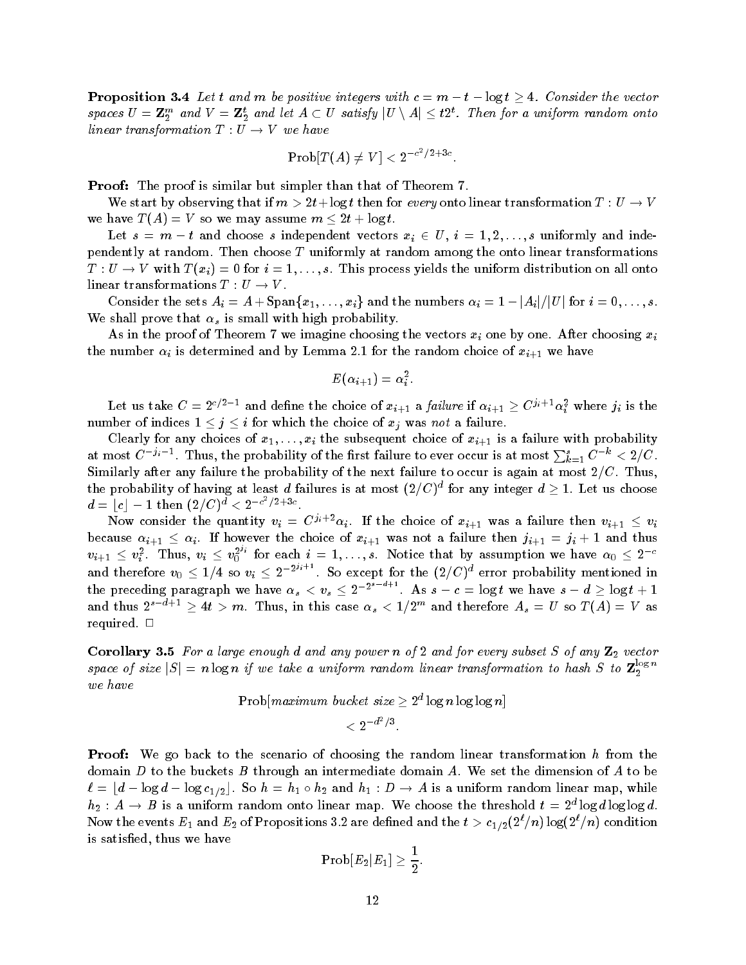**Proposition 3.4** Let t and m be positive integers with  $c = m - t - \log t \geq 4$ . Consider the vector spaces  $U=\mathbf Z_2^m$  and  $V=\mathbf Z_2^t$  and let  $A\subset U$  satisfy  $|U\setminus A|\leq t2^t.$  Then for a uniform random onto linear transformation  $T: U \to V$  we have

$$
\mathrm{Prob}[T(A) \neq V] < 2^{-c^2/2+3c}.
$$

**Proof:** The proof is similar but simpler than that of Theorem 7.

We start by observing that if  $m > 2t + \log t$  then for every onto linear transformation  $T : U \to V$ we have  $T(A) = V$  so we may assume  $m \leq 2t + \log t$ .

Let  $s = m - t$  and choose s independent vectors  $x_i \in U, i = 1, 2, ..., s$  uniformly and independently at random. Then choose  $T$  uniformly at random among the onto linear transformations  $T: U \to V$  with  $T(x_i) = 0$  for  $i = 1, \ldots, s$ . This process yields the uniform distribution on all onto linear transformations  $T: U \to V$ .

Consider the sets  $A_i = A + \text{Span}\{x_1, \ldots, x_i\}$  and the numbers  $\alpha_i = 1 - |A_i|/|U|$  for  $i = 0, \ldots, s.$ We shall prove that  $\alpha_s$  is small with high probability.

As in the proof of Theorem 7 we imagine choosing the vectors  $x_i$  one by one. After choosing  $x_i$ the number is  $\alpha_i$  is determined and  $\alpha_j$   $=$  the random choice of  $\alpha$  and  $\alpha$  and  $\alpha$   $\beta+1$  and  $\beta$  we have

$$
E(\alpha_{i+1})=\alpha_i^2.
$$

Let us take  $C = 2^{c/2-1}$  and define the choice of  $x_{i+1}$  a *failure* if  $\alpha_{i+1} \ge C^{ji+1} \alpha_i^2$  where  $j_i$  is the number of indices  $1 \leq j \leq i$  for which the choice of  $x_j$  was not a failure.

Clearly for any choices of  $x_1, \ldots, x_i$  the subsequent choice of  $x_{i+1}$  is a failure with probability at most  $C^{-j_i-1}$  . Thus, the probability of the first failure to ever occur is at most  $\sum_{k=1}^s C^{-\kappa} < 2/C$  . -Similarly after any failure the probability of the next failure to occur is again at most -C Thus the probability of having at least  $d$  failures is at most  $(2/C)^a$  for any integer  $d\geq 1.$  Let us choose  $d = \lfloor c \rfloor - 1 \, \t\text{then} \; (2/C)^d < 2^{-c^2/2 + 3c}.$ 

Now consider the quantity  $v_i = C^{j_i+2}\alpha_i$ . If the choice of  $x_{i+1}$  was a failure then  $v_{i+1} \leq v_i$ because  $\alpha_{i+1} \leq \alpha_i$ . If however the choice of  $x_{i+1}$  was not a failure then  $j_{i+1} = j_i + 1$  and thus  $v_{i+1} \leq v_i^2$ . Thus,  $v_i \leq v_0^{2^{s_i}}$  for each  $i=1,\ldots,s.$  Notice that by assumption we have  $\alpha_0 \leq 2^{-c}$ u --- ---- - - -, and therefore  $v_0 \leq 1/4$  so  $v_i \leq 2^{-2^{s+i}}$ . So except for the  $(2/C)^a$  error probability mentioned in the preceding paragraph we have  $\alpha_s < v_s \leq 2^{-2^{s-d+1}}$ . As  $s - c = \log t$  we have  $s - d \geq \log t + 1$ and thus  $2^{s-a+1} \ge 4t > m$ . Thus, in this case  $\alpha_s < 1/2^m$  and therefore  $A_s = U$  so  $T(A) = V$  as required.  $\square$ 

Corollary - For a large enough d and any power n of and for every subset S of any Z vector space of size  $|S| = n \log n$  if we take a uniform random linear transformation to hash S to  $\mathbb{Z}_2^{\log n}$ we have

Prob $\lceil maximum \; bucket \; size \geq 2^a \log n \log \log n \rceil$ 

$$
<2^{-d^2/3}.
$$

**Proof:** We go back to the scenario of choosing the random linear transformation h from the domain D to the buckets B through an intermediate domain A. We set the dimension of A to be  $\ell = \lfloor d - \log d - \log c_{1/2} \rfloor$ . So  $h = h_1 \circ h_2$  and  $h_1 : D \to A$  is a uniform random linear map, while  $n_2: A \to B$  is a uniform random onto linear map. We choose the threshold  $\iota = 2^\omega \log a$  log  $a$  log og  $a$ . Now the events  $E_1$  and  $E_2$  of Propositions 5.2 are defined and the  $t>c_{1/2}(Z/\sqrt{n})\log(Z/\sqrt{n})$  condition is satisfied, thus we have

$$
\text{Prob}[E_2|E_1] \geq \frac{1}{2}.
$$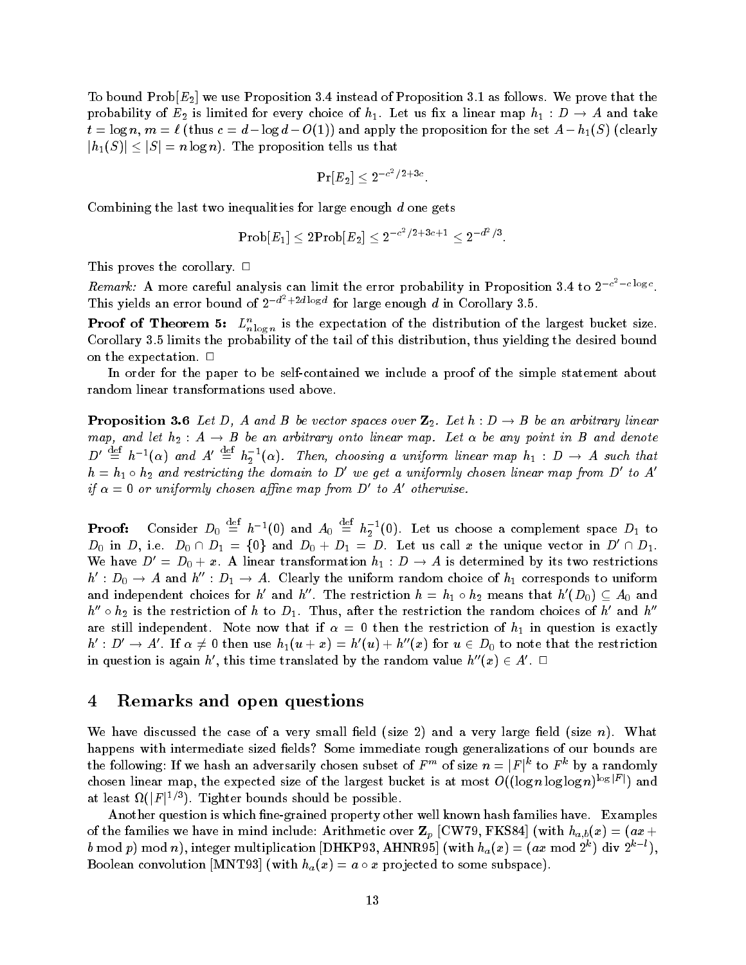. To bound Probe we use Problems we use that the Proposition of Proposition and the theory we use that the the probability of  $E_2$  is limited for every choice of  $n_1$ . Let us fix a linear map  $n_1$  :  $D \to A$  and take  $t = \log n$ ,  $m = t$  (thus  $t = a - \log a - O(1)$ ) and apply the proposition for the set  $A = n_1(\omega)$  (clearly  $|h_1(S)| \leq |S| = n \log n$ . The proposition tells us that

$$
\Pr[E_2] \leq 2^{-c^2/2+3c}.
$$

Combining the last two inequalities for large enough  $d$  one gets

$$
\text{Prob}[E_1] \leq 2 \text{Prob}[E_2] \leq 2^{-c^2/2+3c+1} \leq 2^{-d^2/3}.
$$

This proves the corollary.  $\Box$ 

Remark: A more careful analysis can limit the error probability in Proposition 3.4 to  $2^{-c^2-c\log c}$ . This yields an error bound of  $2^{-a^2+2a\log a}$  for large enough d in Corollary 3.5.

**Proof of Theorem 3:**  $L_{n \log n}^{\circ}$  is the expectation of the distribution of the largest bucket size.  $\mathcal{L}$  is the probability of this distribution that tail of this distribution the desired bound bound bound bound bound bound bound bound bound bound bound bound bound bound bound bound bound bound bound bound bound bou on the expectation.  $\Box$ 

In order for the paper to be self-contained we include a proof of the simple statement about random linear transformations used above

**Proposition 5.0** Let D, A and B be vector spaces over  $\mathbf{z}_2$ . Let  $n : D \to B$  be an arbitrary imear map, ana let  $n_2$  : A  $\rightarrow$  B be an arbitrary onto linear map. Let  $\alpha$  be any point in B ana denote  $D' \stackrel{\text{def}}{=} h^{-1}(\alpha)$  and  $A' \stackrel{\text{def}}{=} h_2^{-1}(\alpha)$ . Then, choosing a uniform linear map  $h_1 : D \to A$  such that  $h = h_1 \circ h_2$  and restricting the domain to D' we get a uniformly chosen linear map from D' to A' if  $\alpha = 0$  or uniformly chosen affine map from D' to A' otherwise.

Proof Consider D  $\equiv h^{-1}(0)$  and  $A_0 \equiv$  $\equiv h_2^{-1}(0)$ . Let us choose a complement space  $D_1$  to  $D_0$  in D, i.e.  $D_0 \cap D_1 = \{0\}$  and  $D_0 + D_1 = D$ . Let us call x the unique vector in  $D' \cap D_1$ . We have  $D' = D_0 + x$ . A linear transformation  $h_1 : D \to A$  is determined by its two restrictions  $h' : D_0 \to A$  and  $h'' : D_1 \to A$ . Clearly the uniform random choice of  $h_1$  corresponds to uniform and independent choices for  $h'$  and  $h''$ . The restriction  $h = h_1 \circ h_2$  means that  $h'(D_0) \subseteq A_0$  and  $h'' \circ h_2$  is the restriction of h to  $D_1$ . Thus, after the restriction the random choices of h' and  $h''$ are still independent Note now that if  $\mathbf{t}$  is exactly if  $\mathbf{t}$  is exactly if  $\mathbf{t}$  $h' : D' \to A'$ . If  $\alpha \neq 0$  then use  $h_1(u+x) = h'(u) + h''(x)$  for  $u \in D_0$  to note that the restriction in question is again h', this time translated by the random value  $h''(x) \in A'$ .

#### 4 Remarks and open questions

We have discussed the case of a very small field (size 2) and a very large field (size n). What happens with intermediate sized fields? Some immediate rough generalizations of our bounds are the following: If we hash an adversarily chosen subset of  $F^m$  of size  $n = |F|^k$  to  $F^k$  by a randomly chosen linear map, the expected size of the largest bucket is at most  $O((\log n \log \log n)^{\log |F|})$  and at least  $\Omega(|F|^{1/3})$ . Tighter bounds should be possible.

Another question is which fine-grained property other well known hash families have. Examples of the families we have in mind include: Arithmetic over  $\mathbf{Z}_p$  [CW79, FKS84] (with  $h_{a,b}(x) = (ax + b)^2$ b mod p) mod n), integer multiplication  $|DHKP33, AHNR95|$  (with  $h_a(x) = (ax \mod 2^n)$  div  $2^{n-1}$ ), Boolean convolution  $|\text{MIN I 93}|$  (with  $h_a(x) = a \circ x$  projected to some subspace).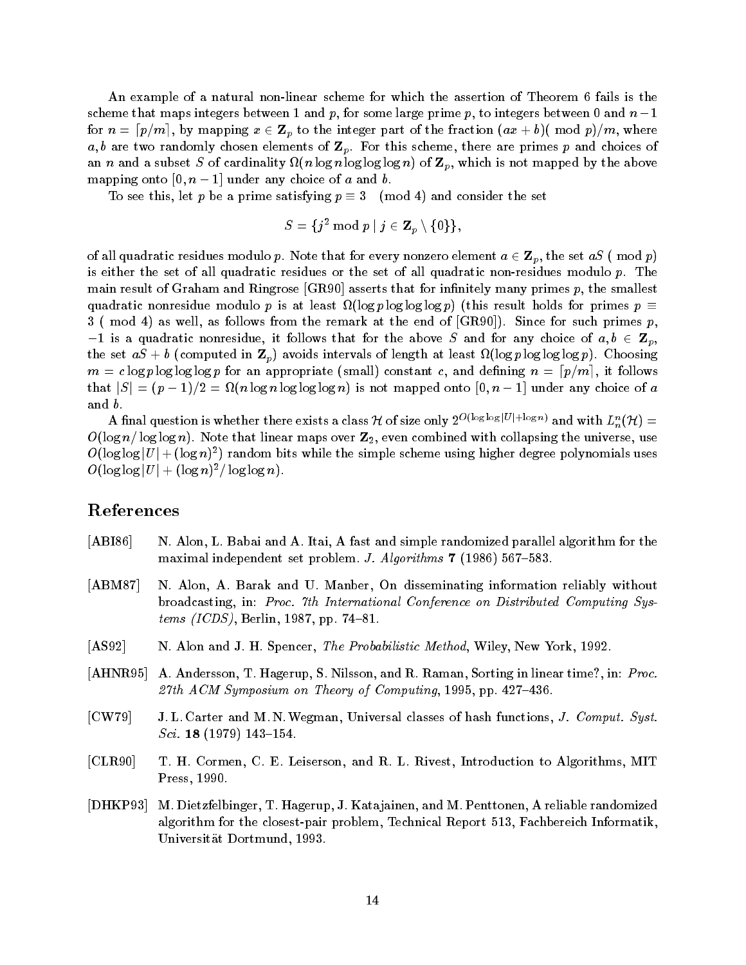An example of a natural non-linear scheme for which the assertion of Theorem 6 fails is the scheme that maps integers between I and  $p$ , for some large prime  $p$ , to integers between  $\sigma$  and  $n-1$ for  $n = \lceil p/m \rceil,$  by mapping  $x \in {\bf Z}_p$  to the integer part of the fraction  $(ax + b)(\bmod p)/m,$  where a, b are two randomly chosen elements of  $\mathbf{Z}_p$ . For this scheme, there are primes p and choices of an n and a subset S of cardinality  $\Omega(n \log n \log \log \log n)$  of  $\mathbf{Z}_p$ , which is not mapped by the above  $\max_{\theta}$  onto  $\theta$ ,  $n - 1$  and any choice of a and v.

To see this, let p be a prime satisfying  $p \equiv 3 \pmod{4}$  and consider the set

$$
S=\{j^2 \bmod p \mid j \in \mathbf{Z}_p \setminus \{0\}\},
$$

of all quadratic residues modulo p. Note that for every nonzero element  $a \in \mathbf{Z}_p$ , the set  $aS$  (mod p) is either the set of all quadratic residues or the set of all quadratic non-residues modulo  $p$ . The main result of Graham and Ringrose  $|GR90|$  asserts that for infinitely many primes p, the smallest quadratic nonresidue modulo p is at least  $\Omega(\log p \log \log p)$  (this result holds for primes  $p \equiv$  mod as well as follows from the remark at the end of GR Since for such primes p  $-1$  is a quadratic nonresidue, it follows that for the above  $S$  and for any choice of  $a, b \in \mathbf{Z}_p$ , the set  $aS + b$  (computed in  $\mathbf{Z}_p$ ) avoids intervals of length at least  $\Omega(\log p \log \log \log p)$ . Choosing  $m\, =\, c \log p \log \log \log p$  for an appropriate (small) constant  $c,$  and defining  $\,n\, =\, \lceil p/m \rceil,$  it follows that  $|S| = (p-1)/2 = \Omega(n \log n \log \log \log n)$  is not mapped onto  $[0, n-1]$  under any choice of  $a$ and *.* 

A final question is whether there exists a class  $\cal H$  of size only  $2^{O(\log\log |U| + \log n)}$  and with  $L_n^n({\cal H})=1$ Olog n- log log n Note that linear maps over Z even combined with collapsing the universe use  $O(\log \log |U| + (\log n)^2)$  random bits while the simple scheme using higher degree polynomials uses  $O(\log \log |U| + (\log n)^2 / \log \log n).$ 

## References

- $[ABI86]$  N. Alon, L. Babai and A. Itai, A fast and simple randomized parallel algorithm for the maximal independent set problems vi algorithms - juster J Alex Service
- [ABM87] N. Alon, A. Barak and U. Manber, On disseminating information reliably without broadcasting, in: Proc. 7th International Conference on Distributed Computing Systems ICDS Berlin - pp -
- As a new York and John and John Spencer The Probabilistic Method Wiley New York Probability of the United St
- $[AHNR 95]$  A. Andersson, T. Hagerup, S. Nilsson, and R. Raman, Sorting in linear time?, in: *Proc.* the symposium of the Symposium of Computing Computing and Symposium of Computing Computing Computing Computing Computing Computing Computing Computing Computing Computing Computing Computing Computing Computing Computing C
- [CW 79] J.L. Carter and M.N. Wegman, Universal classes of hash functions, J. Comput. Syst. Sci - - -
- [CLR90] T. H. Cormen, C. E. Leiserson, and R. L. Rivest, Introduction to Algorithms, MIT Press - Press - Press - Press - Press - Press - Press - Press - Press - Press - Press - Press - Press - Press
- $[DHKP93]$ M. Dietzfelbinger, T. Hagerup, J. Katajainen, and M. Penttonen, A reliable randomized algorithm for the closestpair problem Technical Report - Fachbereich Informatik University of Dortmund - Dortmund - Production - Production - Production - Production - Production - Production